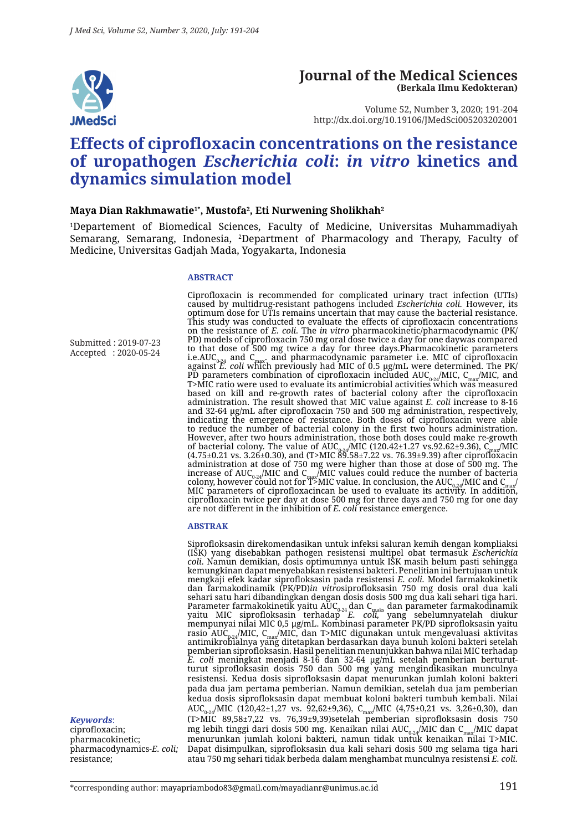

#### **Journal of the Medical Sciences (Berkala Ilmu Kedokteran)**

Volume 52, Number 3, 2020; 191-204 http://dx.doi.org/10.19106/JMedSci005203202001

# **Effects of ciprofloxacin concentrations on the resistance of uropathogen** *Escherichia coli***:** *in vitro* **kinetics and dynamics simulation model**

#### **Maya Dian Rakhmawatie1\*, Mustofa2 , Eti Nurwening Sholikhah2**

1 Departement of Biomedical Sciences, Faculty of Medicine, Universitas Muhammadiyah Semarang, Semarang, Indonesia, 2 Department of Pharmacology and Therapy, Faculty of Medicine, Universitas Gadjah Mada, Yogyakarta, Indonesia

#### **ABSTRACT**

Submitted : 2019-07-23 Accepted : 2020-05-24

Ciprofloxacin is recommended for complicated urinary tract infection (UTIs) caused by multidrug-resistant pathogens included *Escherichia coli.* However, its optimum dose for UTIs remains uncertain that may cause the bacterial resistance. This study was conducted to evaluate the effects of ciprofloxacin concentrations on the resistance of *E. coli.* The *in vitro* pharmacokinetic/pharmacodynamic (PK/ PD) models of ciprofloxacin 750 mg oral dose twice a day for one daywas compared to that dose of 500 mg twice a day for three days.Pharmacokinetic parameters i.e.AUC<sub>0-24</sub> and C<sub>max</sub>. and pharmacodynamic parameter i.e. MIC of ciprofloxacin<br>against *E. coli* which previously had MIC of 0.5 µg/mL were determined. The PK/ PD parameters combination of ciprofloxacin included AUC<sub>0-24</sub>/MIC, C<sub>max</sub>/MIC, and<br>T>MIC ratio were used to evaluate its antimicrobial activities which was measured based on kill and re-growth rates of bacterial colony after the ciprofloxacin administration. The result showed that MIC value against *E. coli* increase to 8-16 and 32-64 µg/mL after ciprofloxacin 750 and 500 mg administration, respectively, indicating the emergence of resistance. Both doses of ciprofloxacin were able to reduce the number of bacterial colony in the first two hours administration. However, after two hours administration, those both doses could make re-growth of bacterial colony. The value of AUC<sub>0-24</sub>/MIC (120.42±1.27 vs.92.62±9.36), C<sub>max</sub>/MIC<br>(4.75±0.21 vs. 3.26±0.30), and (T>MIC 89.58±7.22 vs. 76.39±9.39) after ciprofloxacin administration at dose of 750 mg were higher than those at dose of 500 mg. The increase of  $\text{AUC}_{0.24}/\text{MIC}$  and  $\text{C}_{\text{max}}/\text{MIC}$  values could reduce the number of bacteria colony, however could not for T>MIC value. In conclusion, the AUC<sub>0-24</sub>/MIC and C<sub>max</sub>/<br>MIC parameters of ciprofloxacincan be used to evaluate its activity. In addition, ciprofloxacin twice per day at dose 500 mg for three days and 750 mg for one day are not different in the inhibition of *E. coli* resistance emergence.

#### **ABSTRAK**

Siprofloksasin direkomendasikan untuk infeksi saluran kemih dengan kompliaksi (ISK) yang disebabkan pathogen resistensi multipel obat termasuk *Escherichia coli*. Namun demikian, dosis optimumnya untuk ISK masih belum pasti sehingga kemungkinan dapat menyebabkan resistensi bakteri. Penelitian ini bertujuan untuk mengkaji efek kadar siprofloksasin pada resistensi *E. coli.* Model farmakokinetik dan farmakodinamik (PK/PD)*in vitro*siprofloksasin 750 mg dosis oral dua kali sehari satu hari dibandingkan dengan dosis dosis 500 mg dua kali sehari tiga hari. Parameter farmakokinetik yaitu AUC<sub>0-24</sub> dan C<sub>maks</sub> dan parameter farmakodinamik<br>yaitu MIC siprofloksasin terhadap *E. coli*, yang sebelumnyatelah diukur mempunyai nilai MIC 0,5 µg/mL. Kombinasi parameter PK/PD siprofloksasin yaitu rasio AUC<sub>0.24</sub>/MIC, C<sub>max</sub>/MIC, dan T>MIC digunakan untuk mengevaluasi aktivitas antimikrobialnya yang ditetapkan berdasarkan daya bunuh koloni bakteri setelah pemberian siprofloksasin. Hasil penelitian menunjukkan bahwa nilai MIC terhadap *E. coli* meningkat menjadi 8-16 dan 32-64 µg/mL setelah pemberian berturutturut siprofloksasin dosis 750 dan 500 mg yang mengindikasikan munculnya resistensi. Kedua dosis siprofloksasin dapat menurunkan jumlah koloni bakteri pada dua jam pertama pemberian. Namun demikian, setelah dua jam pemberian kedua dosis siprofloksasin dapat membuat koloni bakteri tumbuh kembali. Nilai AUC<sub>0-24</sub>/MIC (120,42±1,27 vs. 92,62±9,36), C<sub>max</sub>/MIC (4,75±0,21 vs. 3,26±0,30), dan (T>MIC 89,58±7,22 vs. 76,39±9,39)setelah pemberian siprofloksasin dosis 750 mg lebih tinggi dari dosis 500 mg. Kenaikan nilai AUC<sub>0-24</sub>/MIC dan C<sub>max</sub>/MIC dapat menurunkan jumlah koloni bakteri, namun tidak untuk kenaikan nilai T>MIC. Dapat disimpulkan, siprofloksasin dua kali sehari dosis 500 mg selama tiga hari atau 750 mg sehari tidak berbeda dalam menghambat munculnya resistensi *E. coli.*

*Keywords*: ciprofloxacin; pharmacokinetic; pharmacodynamics-*E. coli;* resistance;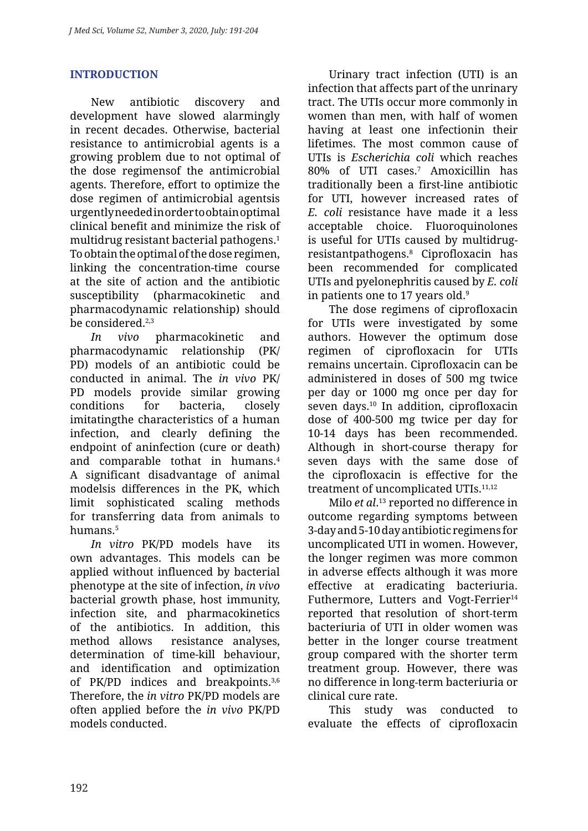## **INTRODUCTION**

New antibiotic discovery and development have slowed alarmingly in recent decades. Otherwise, bacterial resistance to antimicrobial agents is a growing problem due to not optimal of the dose regimensof the antimicrobial agents. Therefore, effort to optimize the dose regimen of antimicrobial agentsis urgently needed in order to obtain optimal clinical benefit and minimize the risk of multidrug resistant bacterial pathogens.1 To obtain the optimal of the dose regimen, linking the concentration-time course at the site of action and the antibiotic susceptibility (pharmacokinetic and pharmacodynamic relationship) should be considered.<sup>2,3</sup>

*In vivo* pharmacokinetic and pharmacodynamic relationship (PK/ PD) models of an antibiotic could be conducted in animal. The *in vivo* PK/ PD models provide similar growing conditions for bacteria, closely imitatingthe characteristics of a human infection, and clearly defining the endpoint of aninfection (cure or death) and comparable tothat in humans.4 A significant disadvantage of animal modelsis differences in the PK, which limit sophisticated scaling methods for transferring data from animals to humans.5

*In vitro* PK/PD models have its own advantages. This models can be applied without influenced by bacterial phenotype at the site of infection, *in vivo* bacterial growth phase, host immunity, infection site, and pharmacokinetics of the antibiotics. In addition, this method allows resistance analyses, determination of time-kill behaviour, and identification and optimization of PK/PD indices and breakpoints.<sup>3,6</sup> Therefore, the *in vitro* PK/PD models are often applied before the *in vivo* PK/PD models conducted.

Urinary tract infection (UTI) is an infection that affects part of the unrinary tract. The UTIs occur more commonly in women than men, with half of women having at least one infectionin their lifetimes. The most common cause of UTIs is *Escherichia coli* which reaches 80% of UTI cases.7 Amoxicillin has traditionally been a first-line antibiotic for UTI, however increased rates of *E. coli* resistance have made it a less acceptable choice. Fluoroquinolones is useful for UTIs caused by multidrugresistantpathogens.8 Ciprofloxacin has been recommended for complicated UTIs and pyelonephritis caused by *E. coli*  in patients one to 17 years old.<sup>9</sup>

The dose regimens of ciprofloxacin for UTIs were investigated by some authors. However the optimum dose regimen of ciprofloxacin for UTIs remains uncertain. Ciprofloxacin can be administered in doses of 500 mg twice per day or 1000 mg once per day for seven days.<sup>10</sup> In addition, ciprofloxacin dose of 400-500 mg twice per day for 10-14 days has been recommended. Although in short-course therapy for seven days with the same dose of the ciprofloxacin is effective for the treatment of uncomplicated UTIs.<sup>11,12</sup>

Milo *et al*. 13 reported no difference in outcome regarding symptoms between 3-day and 5-10 day antibiotic regimens for uncomplicated UTI in women. However, the longer regimen was more common in adverse effects although it was more effective at eradicating bacteriuria. Futhermore, Lutters and Vogt-Ferrier<sup>14</sup> reported that resolution of short‐term bacteriuria of UTI in older women was better in the longer course treatment group compared with the shorter term treatment group. However, there was no difference in long‐term bacteriuria or clinical cure rate.

This study was conducted to evaluate the effects of ciprofloxacin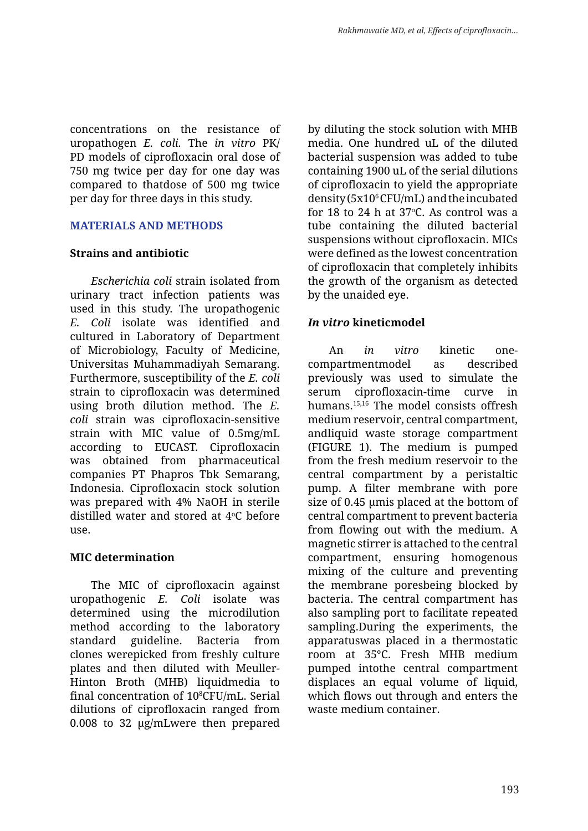concentrations on the resistance of uropathogen *E. coli.* The *in vitro* PK/ PD models of ciprofloxacin oral dose of 750 mg twice per day for one day was compared to thatdose of 500 mg twice per day for three days in this study.

#### **MATERIALS AND METHODS**

#### **Strains and antibiotic**

*Escherichia coli* strain isolated from urinary tract infection patients was used in this study. The uropathogenic *E. Coli* isolate was identified and cultured in Laboratory of Department of Microbiology, Faculty of Medicine, Universitas Muhammadiyah Semarang. Furthermore, susceptibility of the *E. coli* strain to ciprofloxacin was determined using broth dilution method. The *E. coli* strain was ciprofloxacin-sensitive strain with MIC value of 0.5mg/mL according to EUCAST. Ciprofloxacin was obtained from pharmaceutical companies PT Phapros Tbk Semarang, Indonesia. Ciprofloxacin stock solution was prepared with 4% NaOH in sterile distilled water and stored at 4oC before use.

### **MIC determination**

The MIC of ciprofloxacin against uropathogenic *E. Coli* isolate was determined using the microdilution method according to the laboratory standard guideline. Bacteria from clones werepicked from freshly culture plates and then diluted with Meuller-Hinton Broth (MHB) liquidmedia to final concentration of 108 CFU/mL. Serial dilutions of ciprofloxacin ranged from 0.008 to 32 µg/mLwere then prepared

by diluting the stock solution with MHB media. One hundred uL of the diluted bacterial suspension was added to tube containing 1900 uL of the serial dilutions of ciprofloxacin to yield the appropriate density  $(5x10^6 CFU/mL)$  and the incubated for 18 to 24 h at  $37^{\circ}$ C. As control was a tube containing the diluted bacterial suspensions without ciprofloxacin. MICs were defined as the lowest concentration of ciprofloxacin that completely inhibits the growth of the organism as detected by the unaided eye.

## *In vitro* **kineticmodel**

An *in vitro* kinetic onecompartmentmodel as described previously was used to simulate the serum ciprofloxacin-time curve in humans.15,16 The model consists offresh medium reservoir, central compartment, andliquid waste storage compartment (FIGURE 1). The medium is pumped from the fresh medium reservoir to the central compartment by a peristaltic pump. A filter membrane with pore size of 0.45 µmis placed at the bottom of central compartment to prevent bacteria from flowing out with the medium. A magnetic stirrer is attached to the central compartment, ensuring homogenous mixing of the culture and preventing the membrane poresbeing blocked by bacteria. The central compartment has also sampling port to facilitate repeated sampling.During the experiments, the apparatuswas placed in a thermostatic room at 35°C. Fresh MHB medium pumped intothe central compartment displaces an equal volume of liquid, which flows out through and enters the waste medium container.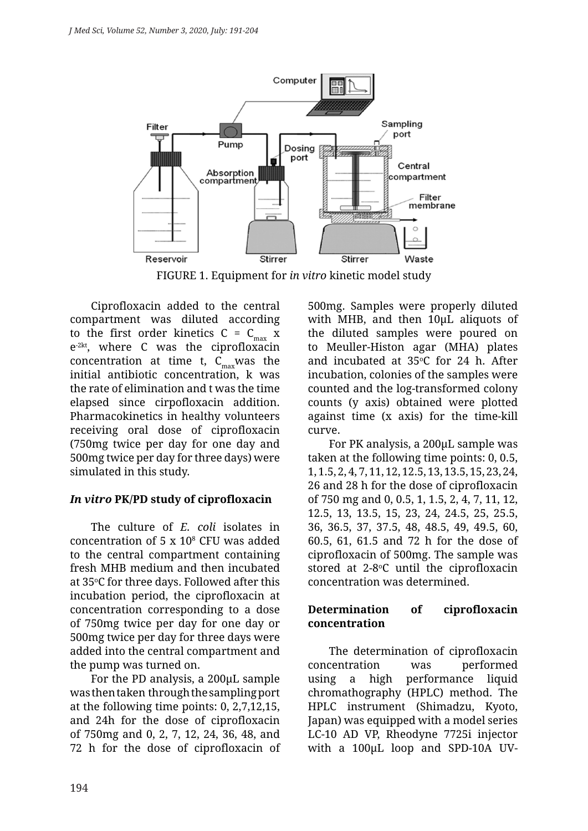

FIGURE 1. Equipment for *in vitro* kinetic model study

Ciprofloxacin added to the central compartment was diluted according to the first order kinetics  $C = C_{max}$  x e-2kt, where C was the ciprofloxacin concentration at time t,  $C_{\text{max}}$  was the initial antibiotic concentration, k was the rate of elimination and t was the time elapsed since cirpofloxacin addition. Pharmacokinetics in healthy volunteers receiving oral dose of ciprofloxacin (750mg twice per day for one day and 500mg twice per day for three days) were simulated in this study.

# *In vitro* **PK/PD study of ciprofloxacin**

The culture of *E. coli* isolates in concentration of  $5 \times 10^8$  CFU was added to the central compartment containing fresh MHB medium and then incubated at 35°C for three days. Followed after this incubation period, the ciprofloxacin at concentration corresponding to a dose of 750mg twice per day for one day or 500mg twice per day for three days were added into the central compartment and the pump was turned on.

For the PD analysis, a 200µL sample was then taken through the sampling port at the following time points: 0, 2,7,12,15, and 24h for the dose of ciprofloxacin of 750mg and 0, 2, 7, 12, 24, 36, 48, and 72 h for the dose of ciprofloxacin of 500mg. Samples were properly diluted with MHB, and then 10µL aliquots of the diluted samples were poured on to Meuller-Histon agar (MHA) plates and incubated at  $35^{\circ}$ C for 24 h. After incubation, colonies of the samples were counted and the log-transformed colony counts (y axis) obtained were plotted against time (x axis) for the time-kill curve.

For PK analysis, a 200µL sample was taken at the following time points: 0, 0.5, 1, 1.5, 2, 4, 7, 11, 12, 12.5, 13, 13.5, 15, 23, 24, 26 and 28 h for the dose of ciprofloxacin of 750 mg and 0, 0.5, 1, 1.5, 2, 4, 7, 11, 12, 12.5, 13, 13.5, 15, 23, 24, 24.5, 25, 25.5, 36, 36.5, 37, 37.5, 48, 48.5, 49, 49.5, 60, 60.5, 61, 61.5 and 72 h for the dose of ciprofloxacin of 500mg. The sample was stored at 2-8<sup>o</sup>C until the ciprofloxacin concentration was determined.

# **Determination of ciprofloxacin concentration**

The determination of ciprofloxacin concentration was performed using a high performance liquid chromathography (HPLC) method. The HPLC instrument (Shimadzu, Kyoto, Japan) was equipped with a model series LC-10 AD VP, Rheodyne 7725i injector with a 100µL loop and SPD-10A UV-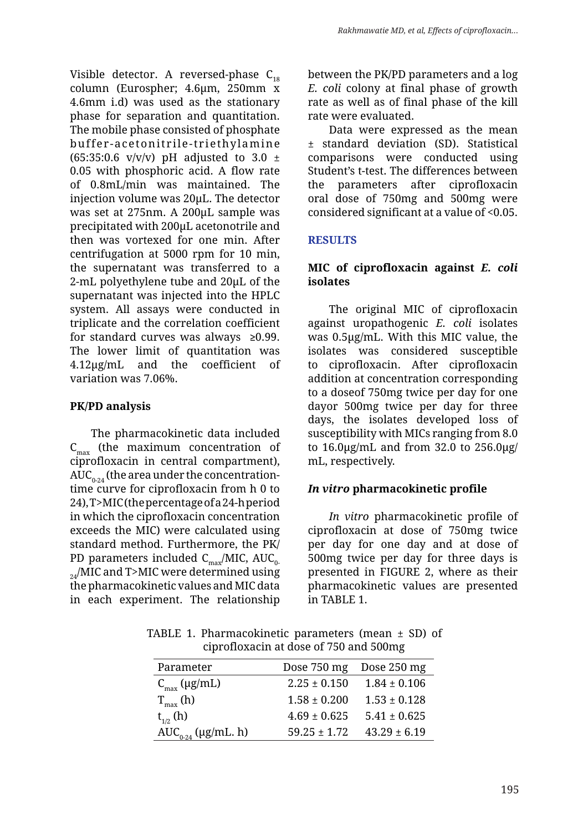Visible detector. A reversed-phase  $C_{18}$ column (Eurospher; 4.6µm, 250mm x 4.6mm i.d) was used as the stationary phase for separation and quantitation. The mobile phase consisted of phosphate buffer-acetonitrile-triethylamine (65:35:0.6 v/v/v) pH adjusted to 3.0  $\pm$ 0.05 with phosphoric acid. A flow rate of 0.8mL/min was maintained. The injection volume was 20µL. The detector was set at 275nm. A 200µL sample was precipitated with 200µL acetonotrile and then was vortexed for one min. After centrifugation at 5000 rpm for 10 min, the supernatant was transferred to a 2-mL polyethylene tube and 20µL of the supernatant was injected into the HPLC system. All assays were conducted in triplicate and the correlation coefficient for standard curves was always ≥0.99. The lower limit of quantitation was 4.12µg/mL and the coefficient of variation was 7.06%.

# **PK/PD analysis**

The pharmacokinetic data included  $C_{\text{max}}$  (the maximum concentration of ciprofloxacin in central compartment),  $AUC_{0,24}$  (the area under the concentrationtime curve for ciprofloxacin from h 0 to 24), T>MIC (the percentage of a 24-h period in which the ciprofloxacin concentration exceeds the MIC) were calculated using standard method. Furthermore, the PK/ PD parameters included  $C_{\text{max}}/MIC$ , AU $C_{0}$ .  $_{24}$ /MIC and T>MIC were determined using the pharmacokinetic values and MIC data in each experiment. The relationship

between the PK/PD parameters and a log *E. coli* colony at final phase of growth rate as well as of final phase of the kill rate were evaluated.

Data were expressed as the mean ± standard deviation (SD). Statistical comparisons were conducted using Student's t-test. The differences between the parameters after ciprofloxacin oral dose of 750mg and 500mg were considered significant at a value of <0.05.

# **RESULTS**

# **MIC of ciprofloxacin against** *E. coli* **isolates**

The original MIC of ciprofloxacin against uropathogenic *E. coli* isolates was 0.5µg/mL. With this MIC value, the isolates was considered susceptible to ciprofloxacin. After ciprofloxacin addition at concentration corresponding to a doseof 750mg twice per day for one dayor 500mg twice per day for three days, the isolates developed loss of susceptibility with MICs ranging from 8.0 to 16.0µg/mL and from 32.0 to 256.0µg/ mL, respectively.

# *In vitro* **pharmacokinetic profile**

*In vitro* pharmacokinetic profile of ciprofloxacin at dose of 750mg twice per day for one day and at dose of 500mg twice per day for three days is presented in FIGURE 2, where as their pharmacokinetic values are presented in TABLE 1.

TABLE 1. Pharmacokinetic parameters (mean  $\pm$  SD) of ciprofloxacin at dose of 750 and 500mg

| Parameter                  | Dose 750 mg      | Dose 250 mg      |
|----------------------------|------------------|------------------|
| $C_{\text{max}}$ (µg/mL)   | $2.25 \pm 0.150$ | $1.84 \pm 0.106$ |
| $T_{\text{max}}$ (h)       | $1.58 \pm 0.200$ | $1.53 \pm 0.128$ |
| $t_{1/2}$ (h)              | $4.69 \pm 0.625$ | $5.41 \pm 0.625$ |
| $AUC_{0.24} (\mu g/mL. h)$ | $59.25 \pm 1.72$ | $43.29 \pm 6.19$ |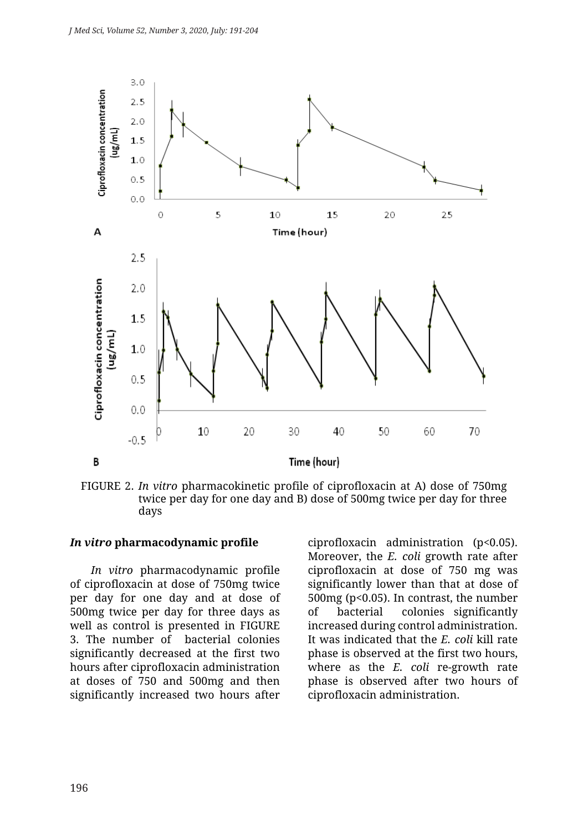

FIGURE 2. *In vitro* pharmacokinetic profile of ciprofloxacin at A) dose of 750mg twice per day for one day and B) dose of 500mg twice per day for three days

#### *In vitro* **pharmacodynamic profile**

*In vitro* pharmacodynamic profile of ciprofloxacin at dose of 750mg twice per day for one day and at dose of 500mg twice per day for three days as well as control is presented in FIGURE 3. The number of bacterial colonies significantly decreased at the first two hours after ciprofloxacin administration at doses of 750 and 500mg and then significantly increased two hours after

ciprofloxacin administration (p<0.05). Moreover, the *E. coli* growth rate after ciprofloxacin at dose of 750 mg was significantly lower than that at dose of 500mg (p<0.05). In contrast, the number of bacterial colonies significantly increased during control administration. It was indicated that the *E. coli* kill rate phase is observed at the first two hours, where as the *E. coli* re-growth rate phase is observed after two hours of ciprofloxacin administration.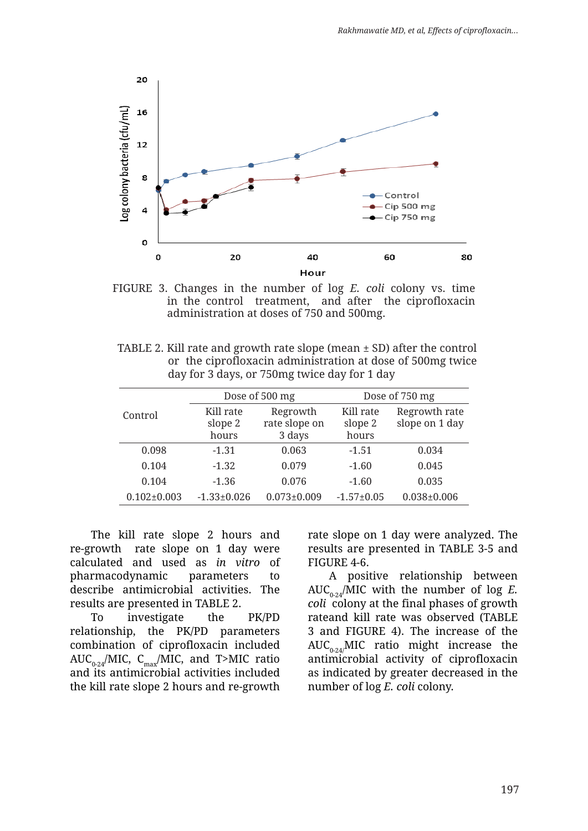

FIGURE 3. Changes in the number of log *E. coli* colony vs. time in the control treatment, and after the ciprofloxacin administration at doses of 750 and 500mg.

| TABLE 2. Kill rate and growth rate slope (mean $\pm$ SD) after the control |
|----------------------------------------------------------------------------|
| or the ciprofloxacin administration at dose of 500mg twice                 |
| day for 3 days, or 750mg twice day for 1 day                               |

|                   |                               | Dose of 500 mg                      | Dose of 750 mg                |                                 |  |
|-------------------|-------------------------------|-------------------------------------|-------------------------------|---------------------------------|--|
| Control           | Kill rate<br>slope 2<br>hours | Regrowth<br>rate slope on<br>3 days | Kill rate<br>slope 2<br>hours | Regrowth rate<br>slope on 1 day |  |
| 0.098             | $-1.31$                       | 0.063                               | $-1.51$                       | 0.034                           |  |
| 0.104             | $-1.32$                       | 0.079                               | $-1.60$                       | 0.045                           |  |
| 0.104             | $-1.36$                       | 0.076                               | $-1.60$                       | 0.035                           |  |
| $0.102 \pm 0.003$ | $-1.33 \pm 0.026$             | $0.073 \pm 0.009$                   | $-1.57+0.05$                  | $0.038 \pm 0.006$               |  |

The kill rate slope 2 hours and re-growth rate slope on 1 day were calculated and used as *in vitro* of pharmacodynamic parameters to describe antimicrobial activities. The results are presented in TABLE 2.

To investigate the PK/PD relationship, the PK/PD parameters combination of ciprofloxacin included AUC<sub>0-24</sub>/MIC, C<sub>max</sub>/MIC, and T>MIC ratio and its antimicrobial activities included the kill rate slope 2 hours and re-growth rate slope on 1 day were analyzed. The results are presented in TABLE 3-5 and FIGURE 4-6.

A positive relationship between AUC<sub>0-24</sub>/MIC with the number of log *E*. *coli* colony at the final phases of growth rateand kill rate was observed (TABLE 3 and FIGURE 4). The increase of the  $AUC_{0.24}$ MIC ratio might increase the antimicrobial activity of ciprofloxacin as indicated by greater decreased in the number of log *E. coli* colony.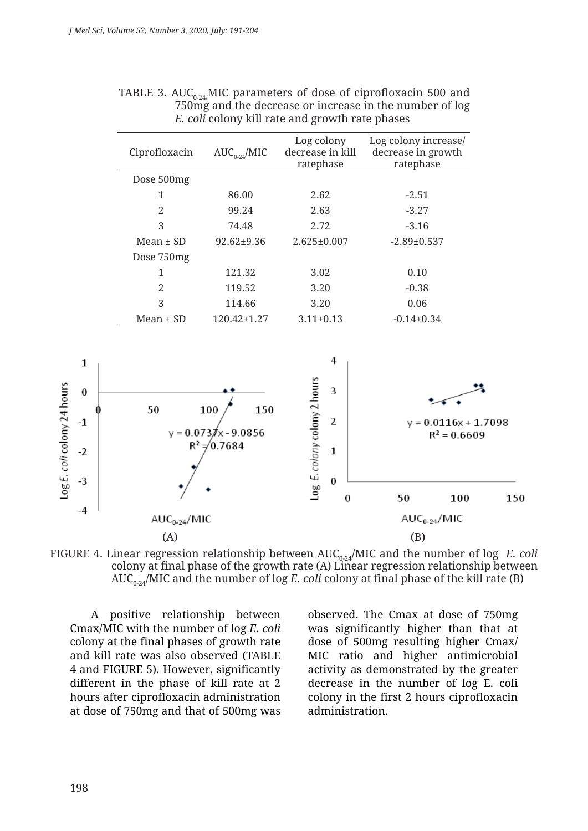| Ciprofloxacin  | $AUC_{0.24}/MIC$ | Log colony<br>decrease in kill<br>ratephase | Log colony increase/<br>decrease in growth<br>ratephase |
|----------------|------------------|---------------------------------------------|---------------------------------------------------------|
| Dose 500mg     |                  |                                             |                                                         |
| 1              | 86.00            | 2.62                                        | $-2.51$                                                 |
| $\overline{2}$ | 99.24            | 2.63                                        | $-3.27$                                                 |
| 3              | 74.48            | 2.72                                        | $-3.16$                                                 |
| Mean $\pm$ SD  | $92.62 \pm 9.36$ | $2.625 \pm 0.007$                           | $-2.89 \pm 0.537$                                       |
| Dose 750mg     |                  |                                             |                                                         |
| 1              | 121.32           | 3.02                                        | 0.10                                                    |
| 2              | 119.52           | 3.20                                        | $-0.38$                                                 |
| 3              | 114.66           | 3.20                                        | 0.06                                                    |
| Mean $\pm$ SD  | 120.42±1.27      | $3.11 \pm 0.13$                             | $-0.14\pm0.34$                                          |

| TABLE 3. AUC <sub>0.24</sub> MIC parameters of dose of ciprofloxacin 500 and |
|------------------------------------------------------------------------------|
| 750 mg and the decrease or increase in the number of log                     |
| <i>E. coli</i> colony kill rate and growth rate phases                       |





A positive relationship between Cmax/MIC with the number of log *E. coli*  colony at the final phases of growth rate and kill rate was also observed (TABLE 4 and FIGURE 5). However, significantly different in the phase of kill rate at 2 hours after ciprofloxacin administration at dose of 750mg and that of 500mg was observed. The Cmax at dose of 750mg was significantly higher than that at dose of 500mg resulting higher Cmax/ MIC ratio and higher antimicrobial activity as demonstrated by the greater decrease in the number of log E. coli colony in the first 2 hours ciprofloxacin administration.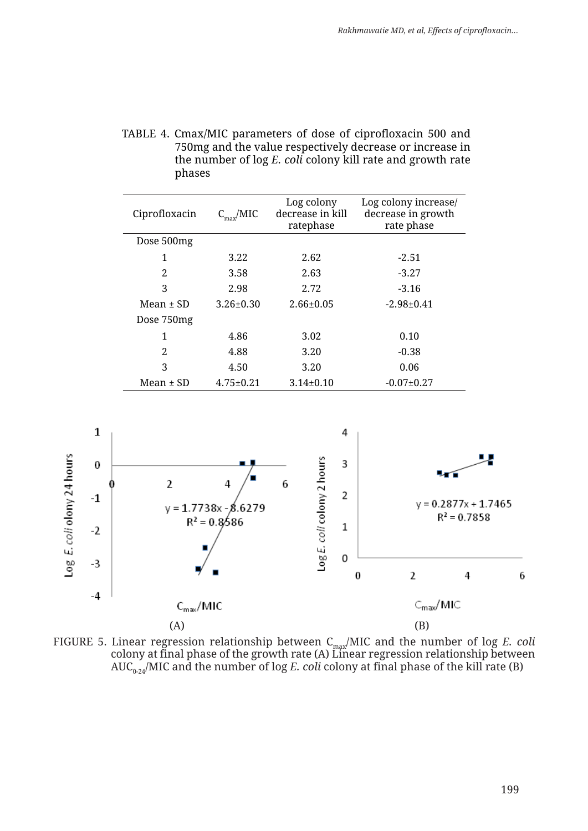| TABLE 4. Cmax/MIC parameters of dose of ciprofloxacin 500 and |
|---------------------------------------------------------------|
| 750mg and the value respectively decrease or increase in      |
| the number of log E. coli colony kill rate and growth rate    |
| phases                                                        |

| Ciprofloxacin | $C_{\rm max}/MIC$ | Log colony<br>decrease in kill<br>ratephase | Log colony increase/<br>decrease in growth<br>rate phase |
|---------------|-------------------|---------------------------------------------|----------------------------------------------------------|
| Dose 500mg    |                   |                                             |                                                          |
| 1             | 3.22              | 2.62                                        | $-2.51$                                                  |
| 2             | 3.58              | 2.63                                        | $-3.27$                                                  |
| 3             | 2.98              | 2.72                                        | $-3.16$                                                  |
| $Mean + SD$   | $3.26 \pm 0.30$   | $2.66 \pm 0.05$                             | $-2.98 \pm 0.41$                                         |
| Dose 750mg    |                   |                                             |                                                          |
| 1             | 4.86              | 3.02                                        | 0.10                                                     |
| 2             | 4.88              | 3.20                                        | $-0.38$                                                  |
| 3             | 4.50              | 3.20                                        | 0.06                                                     |
| Mean $\pm$ SD | $4.75 \pm 0.21$   | $3.14\pm0.10$                               | $-0.07 \pm 0.27$                                         |



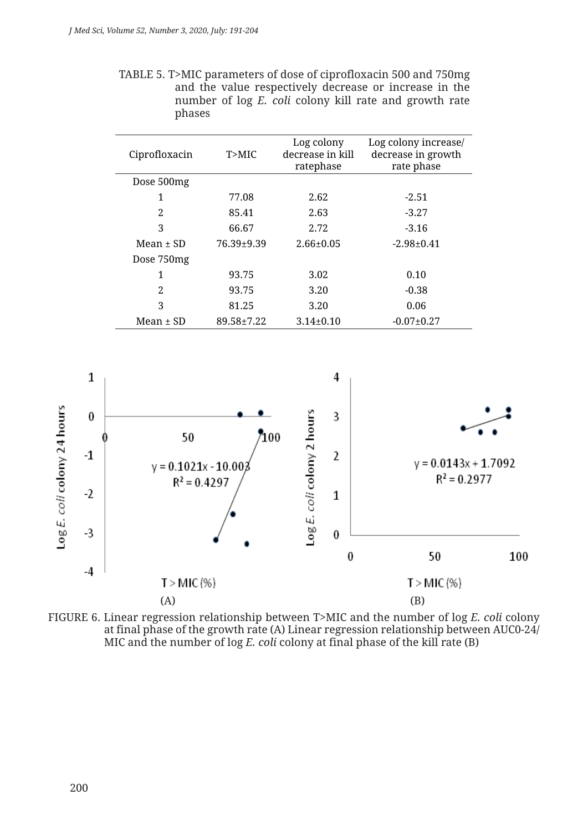| TABLE 5. T>MIC parameters of dose of ciprofloxacin 500 and 750mg |                                                        |  |  |  |
|------------------------------------------------------------------|--------------------------------------------------------|--|--|--|
|                                                                  | and the value respectively decrease or increase in the |  |  |  |
|                                                                  | number of log E. coli colony kill rate and growth rate |  |  |  |
| phases                                                           |                                                        |  |  |  |

| Ciprofloxacin | T>MIC          | Log colony<br>decrease in kill<br>ratephase | Log colony increase/<br>decrease in growth<br>rate phase |
|---------------|----------------|---------------------------------------------|----------------------------------------------------------|
| Dose 500mg    |                |                                             |                                                          |
| 1             | 77.08          | 2.62                                        | $-2.51$                                                  |
| 2             | 85.41          | 2.63                                        | $-3.27$                                                  |
| 3             | 66.67          | 2.72                                        | $-3.16$                                                  |
| $Mean + SD$   | $76.39 + 9.39$ | $2.66 \pm 0.05$                             | $-2.98 \pm 0.41$                                         |
| Dose 750mg    |                |                                             |                                                          |
| 1             | 93.75          | 3.02                                        | 0.10                                                     |
| 2             | 93.75          | 3.20                                        | $-0.38$                                                  |
| 3             | 81.25          | 3.20                                        | 0.06                                                     |
| Mean $\pm$ SD | 89.58±7.22     | $3.14\pm0.10$                               | $-0.07 \pm 0.27$                                         |



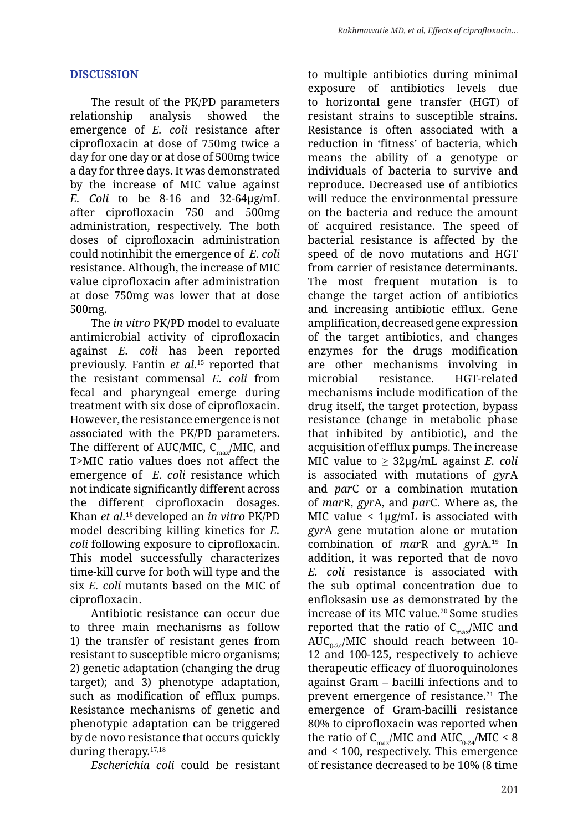# **DISCUSSION**

The result of the PK/PD parameters relationship analysis showed the emergence of *E. coli* resistance after ciprofloxacin at dose of 750mg twice a day for one day or at dose of 500mg twice a day for three days. It was demonstrated by the increase of MIC value against *E. Coli* to be 8-16 and 32-64µg/mL after ciprofloxacin 750 and 500mg administration, respectively. The both doses of ciprofloxacin administration could notinhibit the emergence of *E. coli* resistance. Although, the increase of MIC value ciprofloxacin after administration at dose 750mg was lower that at dose 500mg.

The *in vitro* PK/PD model to evaluate antimicrobial activity of ciprofloxacin against *E. coli* has been reported previously. Fantin *et al*. 15 reported that the resistant commensal *E. coli* from fecal and pharyngeal emerge during treatment with six dose of ciprofloxacin. However, the resistance emergence is not associated with the PK/PD parameters. The different of AUC/MIC,  $C_{\text{max}}/MIC$ , and T>MIC ratio values does not affect the emergence of *E. coli* resistance which not indicate significantly different across the different ciprofloxacin dosages. Khan *et al.*16 developed an *in vitro* PK/PD model describing killing kinetics for *E. coli* following exposure to ciprofloxacin. This model successfully characterizes time-kill curve for both will type and the six *E. coli* mutants based on the MIC of ciprofloxacin.

Antibiotic resistance can occur due to three main mechanisms as follow 1) the transfer of resistant genes from resistant to susceptible micro organisms; 2) genetic adaptation (changing the drug target); and 3) phenotype adaptation, such as modification of efflux pumps. Resistance mechanisms of genetic and phenotypic adaptation can be triggered by de novo resistance that occurs quickly during therapy.17,18

*Escherichia coli* could be resistant

to multiple antibiotics during minimal exposure of antibiotics levels due to horizontal gene transfer (HGT) of resistant strains to susceptible strains. Resistance is often associated with a reduction in 'fitness' of bacteria, which means the ability of a genotype or individuals of bacteria to survive and reproduce. Decreased use of antibiotics will reduce the environmental pressure on the bacteria and reduce the amount of acquired resistance. The speed of bacterial resistance is affected by the speed of de novo mutations and HGT from carrier of resistance determinants. The most frequent mutation is to change the target action of antibiotics and increasing antibiotic efflux. Gene amplification, decreased gene expression of the target antibiotics, and changes enzymes for the drugs modification are other mechanisms involving in microbial resistance. HGT-related mechanisms include modification of the drug itself, the target protection, bypass resistance (change in metabolic phase that inhibited by antibiotic), and the acquisition of efflux pumps. The increase MIC value to  $\geq$  32µg/mL against *E. coli* is associated with mutations of *gyr*A and *par*C or a combination mutation of *mar*R, *gyr*A, and *par*C. Where as, the MIC value < 1µg/mL is associated with *gyr*A gene mutation alone or mutation combination of *mar*R and *gyr*A.19 In addition, it was reported that de novo *E. coli* resistance is associated with the sub optimal concentration due to enfloksasin use as demonstrated by the increase of its MIC value.<sup>20</sup> Some studies reported that the ratio of  $C_{\text{max}}/MIC$  and AUC<sub>0.24</sub>/MIC should reach between 10-12 and 100-125, respectively to achieve therapeutic efficacy of fluoroquinolones against Gram – bacilli infections and to prevent emergence of resistance.<sup>21</sup> The emergence of Gram-bacilli resistance 80% to ciprofloxacin was reported when the ratio of  $C_{\text{max}}/MIC$  and  $AUC_{0.24}/MIC \leq 8$ and < 100, respectively. This emergence of resistance decreased to be 10% (8 time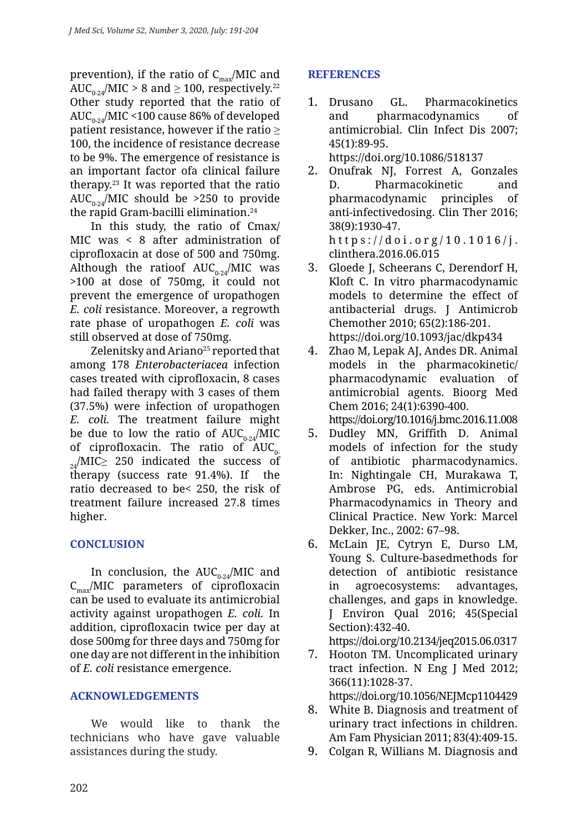prevention), if the ratio of  $C_{\text{max}}/MIC$  and AUC<sub>0-24</sub>/MIC > 8 and  $\geq$  100, respectively.<sup>22</sup> Other study reported that the ratio of AUC<sub>0-24</sub>/MIC <100 cause 86% of developed patient resistance, however if the ratio  $\geq$ 100, the incidence of resistance decrease to be 9%. The emergence of resistance is an important factor ofa clinical failure therapy.23 It was reported that the ratio AUC<sub>0-24</sub>/MIC should be >250 to provide the rapid Gram-bacilli elimination.24

In this study, the ratio of Cmax/ MIC was < 8 after administration of ciprofloxacin at dose of 500 and 750mg. Although the ratioof  $AUC_{0.24}/MIC$  was >100 at dose of 750mg, it could not prevent the emergence of uropathogen *E. coli* resistance. Moreover, a regrowth rate phase of uropathogen *E. coli* was still observed at dose of 750mg.

Zelenitsky and Ariano<sup>25</sup> reported that among 178 *Enterobacteriacea* infection cases treated with ciprofloxacin, 8 cases had failed therapy with 3 cases of them (37.5%) were infection of uropathogen *E. coli.* The treatment failure might be due to low the ratio of  $AUC_{0.24}/MIC$ of ciprofloxacin. The ratio of  $AUC_{0}$  $_{24}/$ MIC $\geq$  250 indicated the success of therapy (success rate 91.4%). If the therapy (success rate  $91.4\%$ ). If ratio decreased to be< 250, the risk of treatment failure increased 27.8 times higher.

# **CONCLUSION**

In conclusion, the  $AUC_{0-24}/MIC$  and  $C_{\text{max}}/MIC$  parameters of ciprofloxacin can be used to evaluate its antimicrobial activity against uropathogen *E. coli.* In addition, ciprofloxacin twice per day at dose 500mg for three days and 750mg for one day are not different in the inhibition of *E. coli* resistance emergence.

### **ACKNOWLEDGEMENTS**

We would like to thank the technicians who have gave valuable assistances during the study.

## **REFERENCES**

- 1. Drusano GL. Pharmacokinetics and pharmacodynamics of antimicrobial. Clin Infect Dis 2007; 45(1):89-95. https://doi.org/10.1086/518137
- 2. Onufrak NJ, Forrest A, Gonzales D. Pharmacokinetic and pharmacodynamic principles of anti-infectivedosing. Clin Ther 2016; 38(9):1930-47. https://doi.org/10.1016/j. clinthera.2016.06.015
- 3. Gloede J, Scheerans C, Derendorf H, Kloft C. In vitro pharmacodynamic models to determine the effect of antibacterial drugs. J Antimicrob Chemother 2010; 65(2):186-201. https://doi.org/10.1093/jac/dkp434
- 4. Zhao M, Lepak AJ, Andes DR. Animal models in the pharmacokinetic/ pharmacodynamic evaluation of antimicrobial agents. Bioorg Med Chem 2016; 24(1):6390-400. https://doi.org/10.1016/j.bmc.2016.11.008
- 5. Dudley MN, Griffith D. Animal models of infection for the study of antibiotic pharmacodynamics. In: Nightingale CH, Murakawa T, Ambrose PG, eds. Antimicrobial Pharmacodynamics in Theory and Clinical Practice. New York: Marcel Dekker, Inc., 2002: 67–98.
- 6. McLain JE, Cytryn E, Durso LM, Young S. Culture-basedmethods for detection of antibiotic resistance in agroecosystems: advantages, challenges, and gaps in knowledge. J Environ Qual 2016; 45(Special Section):432-40.
- https://doi.org/10.2134/jeq2015.06.0317
- 7. Hooton TM. Uncomplicated urinary tract infection. N Eng J Med 2012; 366(11):1028-37. https://doi.org/10.1056/NEJMcp1104429
- 8. White B. Diagnosis and treatment of urinary tract infections in children. Am Fam Physician 2011; 83(4):409-15.
- 9. Colgan R, Willians M. Diagnosis and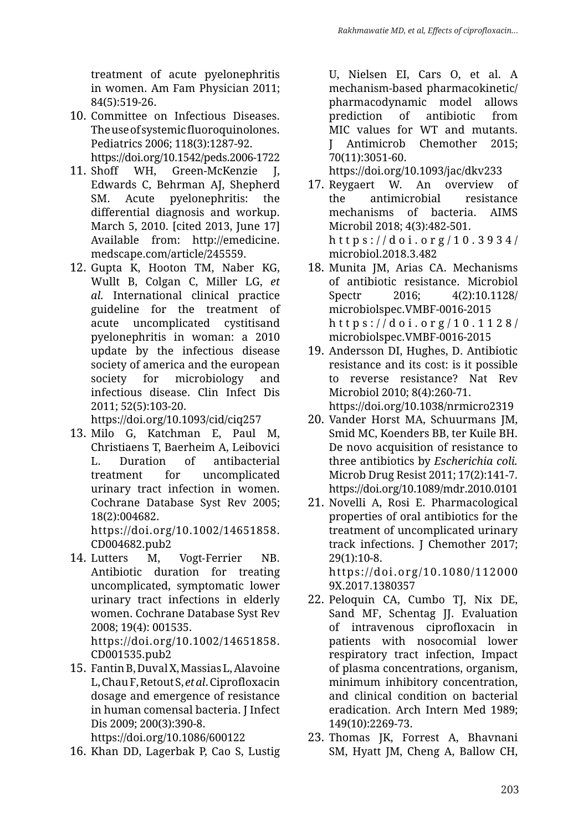treatment of acute pyelonephritis in women. Am Fam Physician 2011; 84(5):519-26.

10. Committee on Infectious Diseases. The use of systemic fluoroquinolones. Pediatrics 2006; 118(3):1287-92. https://doi.org/10.1542/peds.2006-1722

11. Shoff WH, Green-McKenzie J, Edwards C, Behrman AJ, Shepherd SM. Acute pyelonephritis: the differential diagnosis and workup. March 5, 2010. [cited 2013, June 17] Available from: http://emedicine. medscape.com/article/245559.

12. Gupta K, Hooton TM, Naber KG, Wullt B, Colgan C, Miller LG, *et al.* International clinical practice guideline for the treatment of acute uncomplicated cystitisand pyelonephritis in woman: a 2010 update by the infectious disease society of america and the european society for microbiology and infectious disease. Clin Infect Dis 2011; 52(5):103-20.

https://doi.org/10.1093/cid/ciq257

- 13. Milo G, Katchman E, Paul M, Christiaens T, Baerheim A, Leibovici L. Duration of antibacterial treatment for uncomplicated urinary tract infection in women. Cochrane Database Syst Rev 2005; 18(2):004682. https://doi.org/10.1002/14651858. CD004682.pub2
- 14. Lutters M, Vogt-Ferrier NB. Antibiotic duration for treating uncomplicated, symptomatic lower urinary tract infections in elderly women. Cochrane Database Syst Rev 2008; 19(4): 001535. https://doi.org/10.1002/14651858. CD001535.pub2
- 15. Fantin B, Duval X, Massias L, Alavoine L, Chau F, Retout S, *et al*. Ciprofloxacin dosage and emergence of resistance in human comensal bacteria. J Infect Dis 2009; 200(3):390-8.

https://doi.org/10.1086/600122

16. Khan DD, Lagerbak P, Cao S, Lustig

U, Nielsen EI, Cars O, et al. A mechanism-based pharmacokinetic/ pharmacodynamic model allows prediction of antibiotic from MIC values for WT and mutants. J Antimicrob Chemother 2015; 70(11):3051-60.

https://doi.org/10.1093/jac/dkv233

- 17. Reygaert W. An overview of the antimicrobial resistance mechanisms of bacteria. AIMS Microbil 2018; 4(3):482-501. https://doi.org/ 10.3934/ microbiol.2018.3.482
- 18. Munita JM, Arias CA. Mechanisms of antibiotic resistance. Microbiol Spectr 2016; 4(2):10.1128/ microbiolspec.VMBF-0016-2015 https://doi.org/10.1128/ microbiolspec.VMBF-0016-2015
- 19. Andersson DI, Hughes, D. Antibiotic resistance and its cost: is it possible to reverse resistance? Nat Rev Microbiol 2010; 8(4):260-71. https://doi.org/10.1038/nrmicro2319
- 20. Vander Horst MA, Schuurmans JM, Smid MC, Koenders BB, ter Kuile BH. De novo acquisition of resistance to three antibiotics by *Escherichia coli.* Microb Drug Resist 2011; 17(2):141-7. https://doi.org/10.1089/mdr.2010.0101
- 21. Novelli A, Rosi E. Pharmacological properties of oral antibiotics for the treatment of uncomplicated urinary track infections. J Chemother 2017; 29(1):10-8. https://doi.org/10.1080/112000

9X.2017.1380357

- 22. Peloquin CA, Cumbo TJ, Nix DE, Sand MF, Schentag JJ. Evaluation of intravenous ciprofloxacin in patients with nosocomial lower respiratory tract infection, Impact of plasma concentrations, organism, minimum inhibitory concentration, and clinical condition on bacterial eradication. Arch Intern Med 1989; 149(10):2269-73.
- 23. Thomas JK, Forrest A, Bhavnani SM, Hyatt JM, Cheng A, Ballow CH,